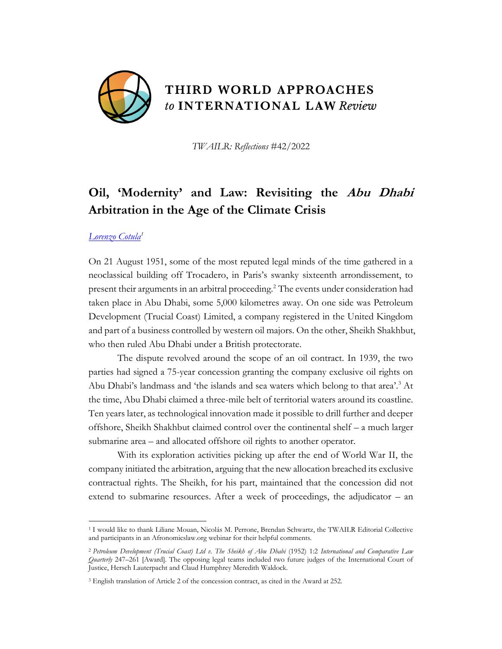

*TWAILR: Reflections* #42/2022

# **Oil, 'Modernity' and Law: Revisiting the Abu Dhabi Arbitration in the Age of the Climate Crisis**

# *[Lorenzo Cotula](https://www.iied.org/users/lorenzo-cotula)<sup>1</sup>*

On 21 August 1951, some of the most reputed legal minds of the time gathered in a neoclassical building off Trocadero, in Paris's swanky sixteenth arrondissement, to present their arguments in an arbitral proceeding.<sup>2</sup> The events under consideration had taken place in Abu Dhabi, some 5,000 kilometres away. On one side was Petroleum Development (Trucial Coast) Limited, a company registered in the United Kingdom and part of a business controlled by western oil majors. On the other, Sheikh Shakhbut, who then ruled Abu Dhabi under a British protectorate.

The dispute revolved around the scope of an oil contract. In 1939, the two parties had signed a 75-year concession granting the company exclusive oil rights on Abu Dhabi's landmass and 'the islands and sea waters which belong to that area'.<sup>3</sup> At the time, Abu Dhabi claimed a three-mile belt of territorial waters around its coastline. Ten years later, as technological innovation made it possible to drill further and deeper offshore, Sheikh Shakhbut claimed control over the continental shelf – a much larger submarine area – and allocated offshore oil rights to another operator.

With its exploration activities picking up after the end of World War II, the company initiated the arbitration, arguing that the new allocation breached its exclusive contractual rights. The Sheikh, for his part, maintained that the concession did not extend to submarine resources. After a week of proceedings, the adjudicator – an

<sup>1</sup> I would like to thank Liliane Mouan, Nicolás M. Perrone, Brendan Schwartz, the TWAILR Editorial Collective and participants in an Afronomicslaw.org webinar for their helpful comments.

<sup>2</sup> *Petroleum Development (Trucial Coast) Ltd v. The Sheikh of Abu Dhabi* (1952) 1:2 *International and Comparative Law Quarterly* 247–261 [Award]. The opposing legal teams included two future judges of the International Court of Justice, Hersch Lauterpacht and Claud Humphrey Meredith Waldock.

<sup>3</sup> English translation of Article 2 of the concession contract, as cited in the Award at 252.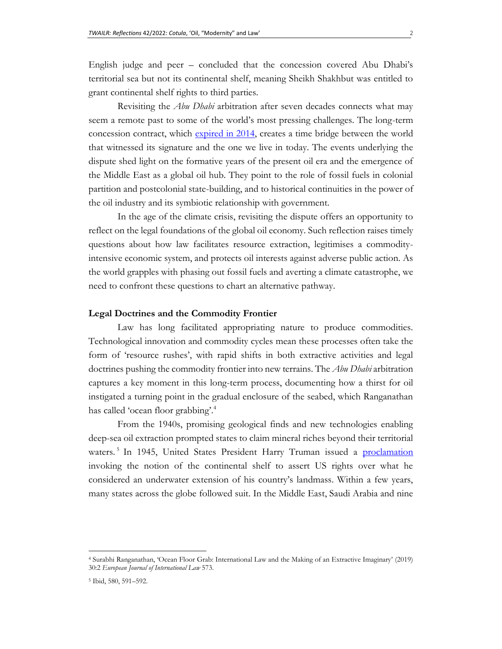English judge and peer – concluded that the concession covered Abu Dhabi's territorial sea but not its continental shelf, meaning Sheikh Shakhbut was entitled to grant continental shelf rights to third parties.

Revisiting the *Abu Dhabi* arbitration after seven decades connects what may seem a remote past to some of the world's most pressing challenges. The long-term concession contract, which [expired in 2014,](https://www.thenationalnews.com/business/money/the-end-of-an-incredible-oil-powered-era-1.303765) creates a time bridge between the world that witnessed its signature and the one we live in today. The events underlying the dispute shed light on the formative years of the present oil era and the emergence of the Middle East as a global oil hub. They point to the role of fossil fuels in colonial partition and postcolonial state-building, and to historical continuities in the power of the oil industry and its symbiotic relationship with government.

In the age of the climate crisis, revisiting the dispute offers an opportunity to reflect on the legal foundations of the global oil economy. Such reflection raises timely questions about how law facilitates resource extraction, legitimises a commodityintensive economic system, and protects oil interests against adverse public action. As the world grapples with phasing out fossil fuels and averting a climate catastrophe, we need to confront these questions to chart an alternative pathway.

#### **Legal Doctrines and the Commodity Frontier**

Law has long facilitated appropriating nature to produce commodities. Technological innovation and commodity cycles mean these processes often take the form of 'resource rushes', with rapid shifts in both extractive activities and legal doctrines pushing the commodity frontier into new terrains. The *Abu Dhabi* arbitration captures a key moment in this long-term process, documenting how a thirst for oil instigated a turning point in the gradual enclosure of the seabed, which Ranganathan has called 'ocean floor grabbing'.<sup>4</sup>

From the 1940s, promising geological finds and new technologies enabling deep-sea oil extraction prompted states to claim mineral riches beyond their territorial waters.<sup>5</sup> In 1945, United States President Harry Truman issued a [proclamation](https://www.presidency.ucsb.edu/documents/proclamation-2667-policy-the-united-states-with-respect-the-natural-resources-the-subsoil) invoking the notion of the continental shelf to assert US rights over what he considered an underwater extension of his country's landmass. Within a few years, many states across the globe followed suit. In the Middle East, Saudi Arabia and nine

<sup>4</sup> Surabhi Ranganathan, 'Ocean Floor Grab: International Law and the Making of an Extractive Imaginary' (2019) 30:2 *European Journal of International Law* 573.

<sup>5</sup> Ibid, 580, 591–592.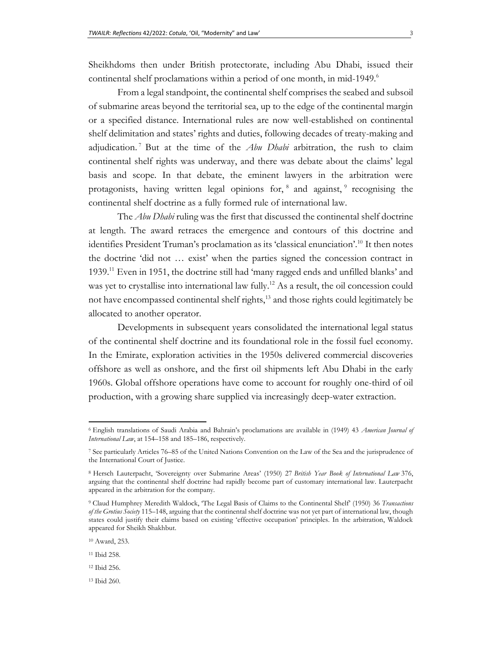Sheikhdoms then under British protectorate, including Abu Dhabi, issued their continental shelf proclamations within a period of one month, in mid-1949.<sup>6</sup>

From a legal standpoint, the continental shelf comprises the seabed and subsoil of submarine areas beyond the territorial sea, up to the edge of the continental margin or a specified distance. International rules are now well-established on continental shelf delimitation and states' rights and duties, following decades of treaty-making and adjudication. <sup>7</sup> But at the time of the *Abu Dhabi* arbitration, the rush to claim continental shelf rights was underway, and there was debate about the claims' legal basis and scope. In that debate, the eminent lawyers in the arbitration were protagonists, having written legal opinions for, <sup>8</sup> and against, <sup>9</sup> recognising the continental shelf doctrine as a fully formed rule of international law.

The *Abu Dhabi* ruling was the first that discussed the continental shelf doctrine at length. The award retraces the emergence and contours of this doctrine and identifies President Truman's proclamation as its 'classical enunciation'.<sup>10</sup> It then notes the doctrine 'did not … exist' when the parties signed the concession contract in 1939.<sup>11</sup> Even in 1951, the doctrine still had 'many ragged ends and unfilled blanks' and was yet to crystallise into international law fully.<sup>12</sup> As a result, the oil concession could not have encompassed continental shelf rights,<sup>13</sup> and those rights could legitimately be allocated to another operator.

Developments in subsequent years consolidated the international legal status of the continental shelf doctrine and its foundational role in the fossil fuel economy. In the Emirate, exploration activities in the 1950s delivered commercial discoveries offshore as well as onshore, and the first oil shipments left Abu Dhabi in the early 1960s. Global offshore operations have come to account for roughly one-third of oil production, with a growing share supplied via increasingly deep-water extraction.

<sup>6</sup> English translations of Saudi Arabia and Bahrain's proclamations are available in (1949) 43 *American Journal of International Law*, at 154–158 and 185–186, respectively.

<sup>7</sup> See particularly Articles 76–85 of the United Nations Convention on the Law of the Sea and the jurisprudence of the International Court of Justice.

<sup>8</sup> Hersch Lauterpacht, 'Sovereignty over Submarine Areas' (1950) 27 *British Year Book of International Law* 376, arguing that the continental shelf doctrine had rapidly become part of customary international law. Lauterpacht appeared in the arbitration for the company.

<sup>9</sup> Claud Humphrey Meredith Waldock, 'The Legal Basis of Claims to the Continental Shelf' (1950) 36 *Transactions of the Grotius Society* 115–148, arguing that the continental shelf doctrine was not yet part of international law, though states could justify their claims based on existing 'effective occupation' principles. In the arbitration, Waldock appeared for Sheikh Shakhbut.

<sup>10</sup> Award, 253.

<sup>11</sup> Ibid 258.

<sup>12</sup> Ibid 256.

<sup>13</sup> Ibid 260.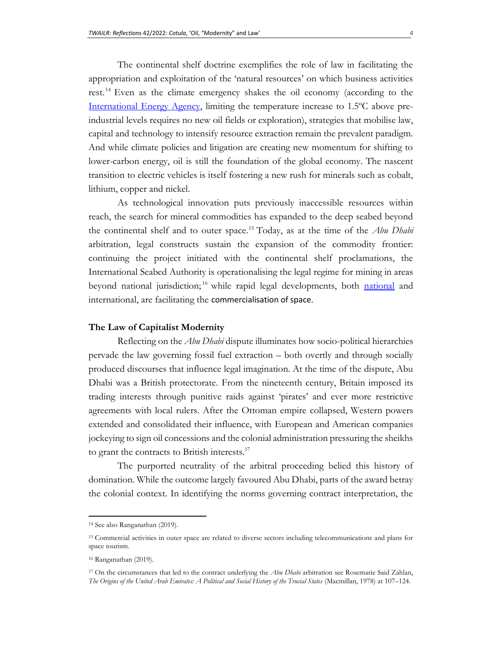The continental shelf doctrine exemplifies the role of law in facilitating the appropriation and exploitation of the 'natural resources' on which business activities rest. <sup>14</sup> Even as the climate emergency shakes the oil economy (according to the [International Energy Agency,](https://iea.blob.core.windows.net/assets/beceb956-0dcf-4d73-89fe-1310e3046d68/NetZeroby2050-ARoadmapfortheGlobalEnergySector_CORR.pdf) limiting the temperature increase to 1.5ºC above preindustrial levels requires no new oil fields or exploration), strategies that mobilise law, capital and technology to intensify resource extraction remain the prevalent paradigm. And while climate policies and litigation are creating new momentum for shifting to lower-carbon energy, oil is still the foundation of the global economy. The nascent transition to electric vehicles is itself fostering a new rush for minerals such as cobalt, lithium, copper and nickel.

As technological innovation puts previously inaccessible resources within reach, the search for mineral commodities has expanded to the deep seabed beyond the continental shelf and to outer space.<sup>15</sup> Today, as at the time of the *Abu Dhabi* arbitration, legal constructs sustain the expansion of the commodity frontier: continuing the project initiated with the continental shelf proclamations, the International Seabed Authority is operationalising the legal regime for mining in areas beyond [national](https://theconversation.com/could-corporations-control-territory-in-space-under-new-us-rules-it-might-be-possible-138939) jurisdiction;<sup>16</sup> while rapid legal developments, both national and international, are facilitating the [commercialisation of space](https://oxfordre.com/planetaryscience/view/10.1093/acrefore/9780190647926.001.0001/acrefore-9780190647926-e-42).

#### **The Law of Capitalist Modernity**

Reflecting on the *Abu Dhabi* dispute illuminates how socio-political hierarchies pervade the law governing fossil fuel extraction – both overtly and through socially produced discourses that influence legal imagination. At the time of the dispute, Abu Dhabi was a British protectorate. From the nineteenth century, Britain imposed its trading interests through punitive raids against 'pirates' and ever more restrictive agreements with local rulers. After the Ottoman empire collapsed, Western powers extended and consolidated their influence, with European and American companies jockeying to sign oil concessions and the colonial administration pressuring the sheikhs to grant the contracts to British interests.<sup>17</sup>

The purported neutrality of the arbitral proceeding belied this history of domination. While the outcome largely favoured Abu Dhabi, parts of the award betray the colonial context. In identifying the norms governing contract interpretation, the

<sup>14</sup> See also Ranganathan (2019).

<sup>15</sup> Commercial activities in outer space are related to diverse sectors including telecommunications and plans for space tourism.

<sup>16</sup> Ranganathan (2019).

<sup>17</sup> On the circumstances that led to the contract underlying the *Abu Dhabi* arbitration see Rosemarie Said Zahlan, *The Origins of the United Arab Emirates: A Political and Social History of the Trucial States* (Macmillan, 1978) at 107–124.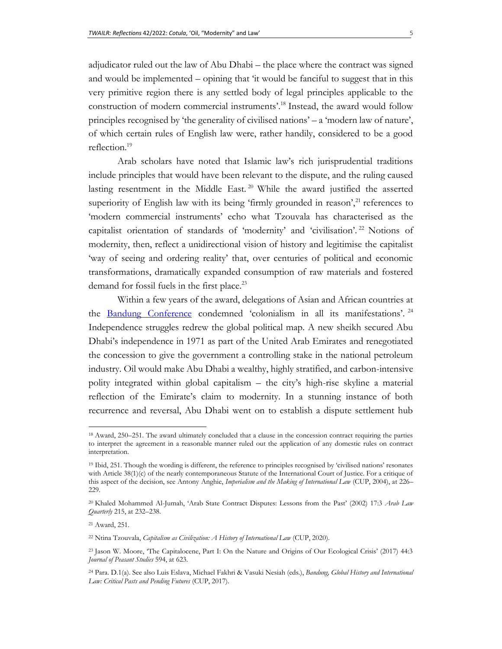adjudicator ruled out the law of Abu Dhabi – the place where the contract was signed and would be implemented – opining that 'it would be fanciful to suggest that in this very primitive region there is any settled body of legal principles applicable to the construction of modern commercial instruments'.<sup>18</sup> Instead, the award would follow principles recognised by 'the generality of civilised nations' – a 'modern law of nature', of which certain rules of English law were, rather handily, considered to be a good reflection.<sup>19</sup>

Arab scholars have noted that Islamic law's rich jurisprudential traditions include principles that would have been relevant to the dispute, and the ruling caused lasting resentment in the Middle East.<sup>20</sup> While the award justified the asserted superiority of English law with its being 'firmly grounded in reason', $^{21}$  references to 'modern commercial instruments' echo what Tzouvala has characterised as the capitalist orientation of standards of 'modernity' and 'civilisation'.<sup>22</sup> Notions of modernity, then, reflect a unidirectional vision of history and legitimise the capitalist 'way of seeing and ordering reality' that, over centuries of political and economic transformations, dramatically expanded consumption of raw materials and fostered demand for fossil fuels in the first place.<sup>23</sup>

Within a few years of the award, delegations of Asian and African countries at the [Bandung Conference](https://www.cvce.eu/en/obj/final_communique_of_the_asian_african_conference_of_bandung_24_april_1955-en-676237bd-72f7-471f-949a-88b6ae513585.html) condemned 'colonialism in all its manifestations'.<sup>24</sup> Independence struggles redrew the global political map. A new sheikh secured Abu Dhabi's independence in 1971 as part of the United Arab Emirates and renegotiated the concession to give the government a controlling stake in the national petroleum industry. Oil would make Abu Dhabi a wealthy, highly stratified, and carbon-intensive polity integrated within global capitalism – the city's high-rise skyline a material reflection of the Emirate's claim to modernity. In a stunning instance of both recurrence and reversal, Abu Dhabi went on to establish a dispute settlement hub

<sup>18</sup> Award, 250–251. The award ultimately concluded that a clause in the concession contract requiring the parties to interpret the agreement in a reasonable manner ruled out the application of any domestic rules on contract interpretation.

<sup>19</sup> Ibid, 251. Though the wording is different, the reference to principles recognised by 'civilised nations' resonates with Article 38(1)(c) of the nearly contemporaneous Statute of the International Court of Justice. For a critique of this aspect of the decision, see Antony Anghie, *Imperialism and the Making of International Law* (CUP, 2004), at 226– 229.

<sup>20</sup> Khaled Mohammed Al-Jumah, 'Arab State Contract Disputes: Lessons from the Past' (2002) 17:3 *Arab Law Quarterly* 215, at 232–238.

<sup>21</sup> Award, 251.

<sup>22</sup> Ntina Tzouvala, *Capitalism as Civilization: A History of International Law* (CUP, 2020).

<sup>23</sup> Jason W. Moore, 'The Capitalocene, Part I: On the Nature and Origins of Our Ecological Crisis' (2017) 44:3 *Journal of Peasant Studies* 594, at 623.

<sup>24</sup> Para. D.1(a). See also Luis Eslava, Michael Fakhri & Vasuki Nesiah (eds.), *Bandung, Global History and International Law: Critical Pasts and Pending Futures* (CUP, 2017).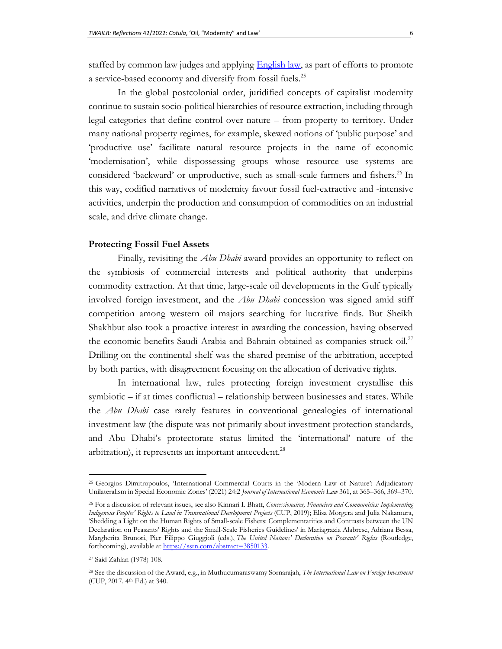staffed by common law judges and applying **English law**, as part of efforts to promote a service-based economy and diversify from fossil fuels.<sup>25</sup>

In the global postcolonial order, juridified concepts of capitalist modernity continue to sustain socio-political hierarchies of resource extraction, including through legal categories that define control over nature – from property to territory. Under many national property regimes, for example, skewed notions of 'public purpose' and 'productive use' facilitate natural resource projects in the name of economic 'modernisation', while dispossessing groups whose resource use systems are considered 'backward' or unproductive, such as small-scale farmers and fishers.<sup>26</sup> In this way, codified narratives of modernity favour fossil fuel-extractive and -intensive activities, underpin the production and consumption of commodities on an industrial scale, and drive climate change.

## **Protecting Fossil Fuel Assets**

Finally, revisiting the *Abu Dhabi* award provides an opportunity to reflect on the symbiosis of commercial interests and political authority that underpins commodity extraction. At that time, large-scale oil developments in the Gulf typically involved foreign investment, and the *Abu Dhabi* concession was signed amid stiff competition among western oil majors searching for lucrative finds. But Sheikh Shakhbut also took a proactive interest in awarding the concession, having observed the economic benefits Saudi Arabia and Bahrain obtained as companies struck oil.<sup>27</sup> Drilling on the continental shelf was the shared premise of the arbitration, accepted by both parties, with disagreement focusing on the allocation of derivative rights.

In international law, rules protecting foreign investment crystallise this symbiotic – if at times conflictual – relationship between businesses and states. While the *Abu Dhabi* case rarely features in conventional genealogies of international investment law (the dispute was not primarily about investment protection standards, and Abu Dhabi's protectorate status limited the 'international' nature of the arbitration), it represents an important antecedent.<sup>28</sup>

<sup>25</sup> Georgios Dimitropoulos, 'International Commercial Courts in the 'Modern Law of Nature': Adjudicatory Unilateralism in Special Economic Zones' (2021) 24:2 *Journal of International Economic Law* 361, at 365–366, 369–370.

<sup>26</sup> For a discussion of relevant issues, see also Kinnari I. Bhatt, *Concessionaires, Financiers and Communities: Implementing Indigenous Peoples' Rights to Land in Transnational Development Projects* (CUP, 2019); Elisa Morgera and Julia Nakamura, 'Shedding a Light on the Human Rights of Small-scale Fishers: Complementarities and Contrasts between the UN Declaration on Peasants' Rights and the Small-Scale Fisheries Guidelines' in Mariagrazia Alabrese, Adriana Bessa, Margherita Brunori, Pier Filippo Giuggioli (eds.), *The United Nations' Declaration on Peasants' Rights* (Routledge, forthcoming), available at https://ssrn.com/abstract=3850133.

<sup>27</sup> Said Zahlan (1978) 108.

<sup>28</sup> See the discussion of the Award, e.g., in Muthucumaraswamy Sornarajah, *The International Law on Foreign Investment*  (CUP, 2017. 4th Ed.) at 340.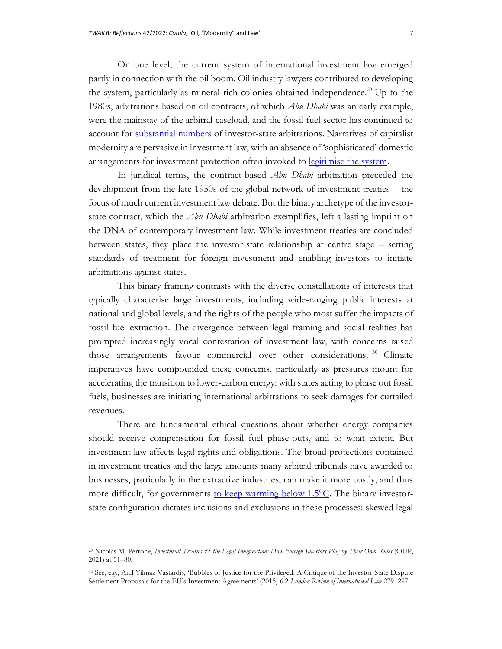On one level, the current system of international investment law emerged partly in connection with the oil boom. Oil industry lawyers contributed to developing the system, particularly as mineral-rich colonies obtained independence.<sup>29</sup> Up to the 1980s, arbitrations based on oil contracts, of which *Abu Dhabi* was an early example, were the mainstay of the arbitral caseload, and the fossil fuel sector has continued to account for [substantial numbers](https://icsid.worldbank.org/resources/publications/icsid-caseload-statistics) of investor-state arbitrations. Narratives of capitalist modernity are pervasive in investment law, with an absence of 'sophisticated' domestic arrangements for investment protection often invoked to [legitimise the system.](https://papers.ssrn.com/sol3/papers.cfm?abstract_id=3392034)

In juridical terms, the contract-based *Abu Dhabi* arbitration preceded the development from the late 1950s of the global network of investment treaties – the focus of much current investment law debate. But the binary archetype of the investorstate contract, which the *Abu Dhabi* arbitration exemplifies, left a lasting imprint on the DNA of contemporary investment law. While investment treaties are concluded between states, they place the investor-state relationship at centre stage – setting standards of treatment for foreign investment and enabling investors to initiate arbitrations against states.

This binary framing contrasts with the diverse constellations of interests that typically characterise large investments, including wide-ranging public interests at national and global levels, and the rights of the people who most suffer the impacts of fossil fuel extraction. The divergence between legal framing and social realities has prompted increasingly vocal contestation of investment law, with concerns raised those arrangements favour commercial over other considerations.<sup>30</sup> Climate imperatives have compounded these concerns, particularly as pressures mount for accelerating the transition to lower-carbon energy: with states acting to phase out fossil fuels, businesses are initiating international arbitrations to seek damages for curtailed revenues.

There are fundamental ethical questions about whether energy companies should receive compensation for fossil fuel phase-outs, and to what extent. But investment law affects legal rights and obligations. The broad protections contained in investment treaties and the large amounts many arbitral tribunals have awarded to businesses, particularly in the extractive industries, can make it more costly, and thus more difficult, for governments to keep warming below 1.5<sup>o</sup>C. The binary investorstate configuration dictates inclusions and exclusions in these processes: skewed legal

<sup>&</sup>lt;sup>29</sup> Nicolás M. Perrone, *Investment Treaties & the Legal Imagination: How Foreign Investors Play by Their Own Rules (OUP,* 2021) at 51–80.

<sup>30</sup> See, e.g., Anil Yilmaz Vastardis, 'Bubbles of Justice for the Privileged: A Critique of the Investor-State Dispute Settlement Proposals for the EU's Investment Agreements' (2015) 6:2 *London Review of International Law* 279–297.